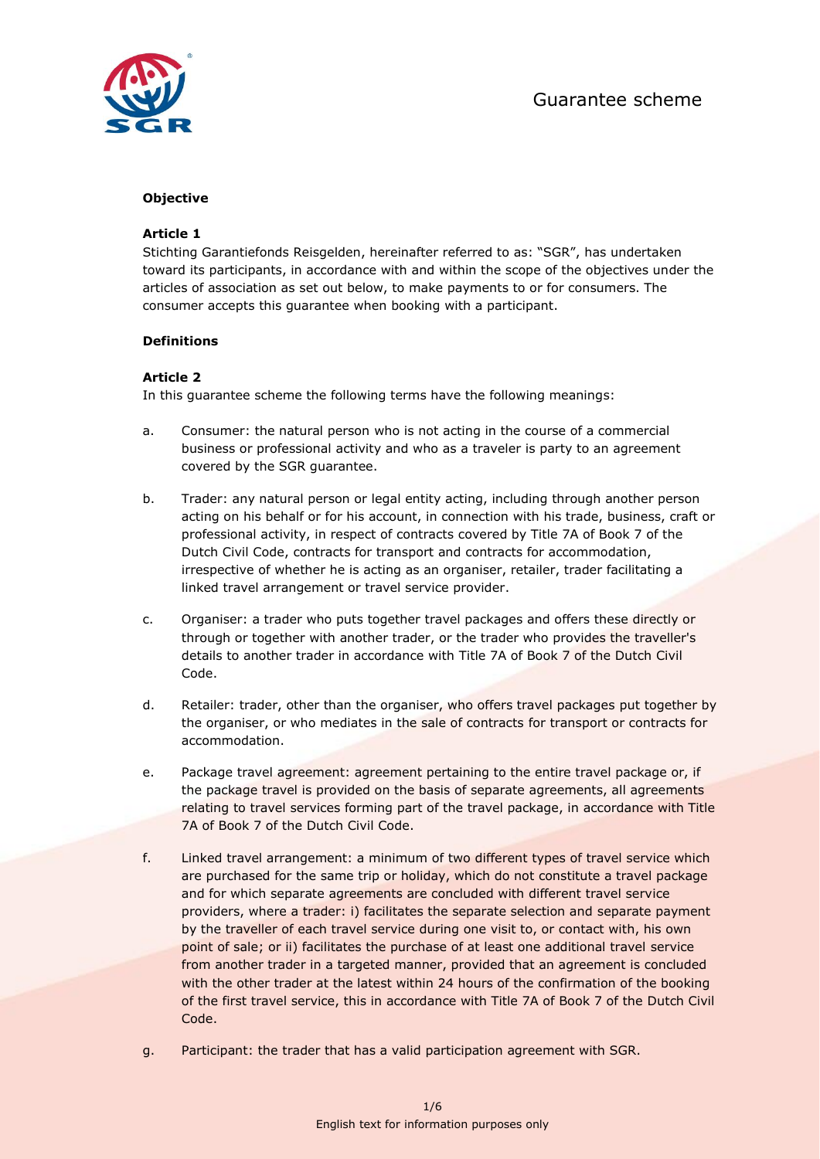

# **Objective**

# **Article 1**

Stichting Garantiefonds Reisgelden, hereinafter referred to as: "SGR", has undertaken toward its participants, in accordance with and within the scope of the objectives under the articles of association as set out below, to make payments to or for consumers. The consumer accepts this guarantee when booking with a participant.

#### **Definitions**

# **Article 2**

In this guarantee scheme the following terms have the following meanings:

- a. Consumer: the natural person who is not acting in the course of a commercial business or professional activity and who as a traveler is party to an agreement covered by the SGR guarantee.
- b. Trader: any natural person or legal entity acting, including through another person acting on his behalf or for his account, in connection with his trade, business, craft or professional activity, in respect of contracts covered by Title 7A of Book 7 of the Dutch Civil Code, contracts for transport and contracts for accommodation, irrespective of whether he is acting as an organiser, retailer, trader facilitating a linked travel arrangement or travel service provider.
- c. Organiser: a trader who puts together travel packages and offers these directly or through or together with another trader, or the trader who provides the traveller's details to another trader in accordance with Title 7A of Book 7 of the Dutch Civil Code.
- d. Retailer: trader, other than the organiser, who offers travel packages put together by the organiser, or who mediates in the sale of contracts for transport or contracts for accommodation.
- e. Package travel agreement: agreement pertaining to the entire travel package or, if the package travel is provided on the basis of separate agreements, all agreements relating to travel services forming part of the travel package, in accordance with Title 7A of Book 7 of the Dutch Civil Code.
- f. Linked travel arrangement: a minimum of two different types of travel service which are purchased for the same trip or holiday, which do not constitute a travel package and for which separate agreements are concluded with different travel service providers, where a trader: i) facilitates the separate selection and separate payment by the traveller of each travel service during one visit to, or contact with, his own point of sale; or ii) facilitates the purchase of at least one additional travel service from another trader in a targeted manner, provided that an agreement is concluded with the other trader at the latest within 24 hours of the confirmation of the booking of the first travel service, this in accordance with Title 7A of Book 7 of the Dutch Civil Code.
- g. Participant: the trader that has a valid participation agreement with SGR.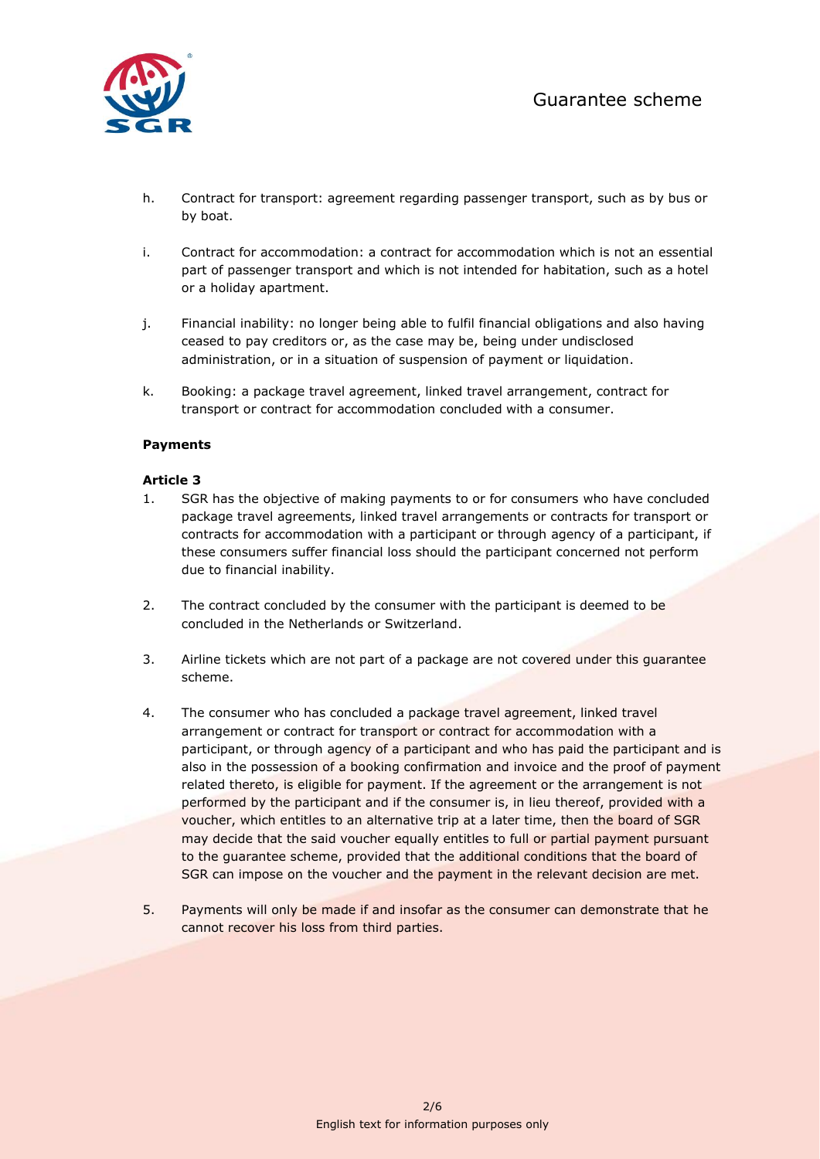

- h. Contract for transport: agreement regarding passenger transport, such as by bus or by boat.
- i. Contract for accommodation: a contract for accommodation which is not an essential part of passenger transport and which is not intended for habitation, such as a hotel or a holiday apartment.
- j. Financial inability: no longer being able to fulfil financial obligations and also having ceased to pay creditors or, as the case may be, being under undisclosed administration, or in a situation of suspension of payment or liquidation.
- k. Booking: a package travel agreement, linked travel arrangement, contract for transport or contract for accommodation concluded with a consumer.

# **Payments**

#### **Article 3**

- 1. SGR has the objective of making payments to or for consumers who have concluded package travel agreements, linked travel arrangements or contracts for transport or contracts for accommodation with a participant or through agency of a participant, if these consumers suffer financial loss should the participant concerned not perform due to financial inability.
- 2. The contract concluded by the consumer with the participant is deemed to be concluded in the Netherlands or Switzerland.
- 3. Airline tickets which are not part of a package are not covered under this guarantee scheme.
- 4. The consumer who has concluded a package travel agreement, linked travel arrangement or contract for transport or contract for accommodation with a participant, or through agency of a participant and who has paid the participant and is also in the possession of a booking confirmation and invoice and the proof of payment related thereto, is eligible for payment. If the agreement or the arrangement is not performed by the participant and if the consumer is, in lieu thereof, provided with a voucher, which entitles to an alternative trip at a later time, then the board of SGR may decide that the said voucher equally entitles to full or partial payment pursuant to the guarantee scheme, provided that the additional conditions that the board of SGR can impose on the voucher and the payment in the relevant decision are met.
- 5. Payments will only be made if and insofar as the consumer can demonstrate that he cannot recover his loss from third parties.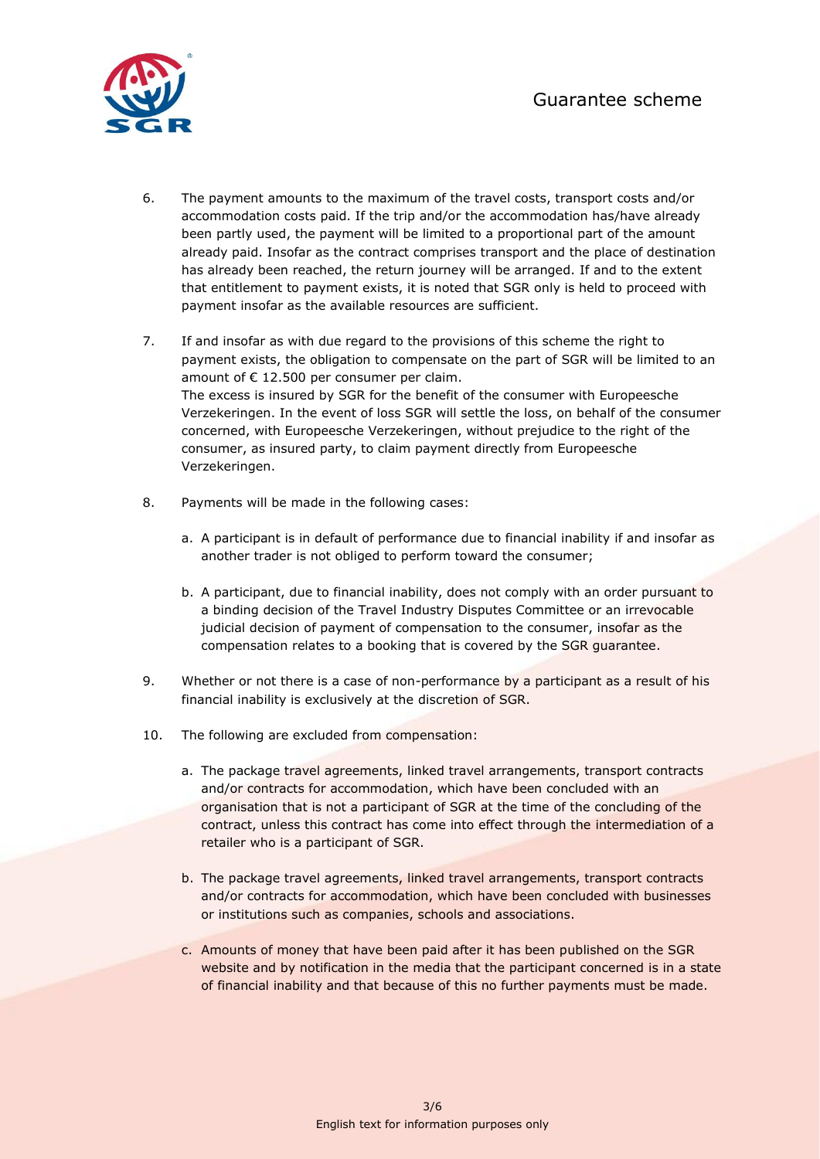

- 6. The payment amounts to the maximum of the travel costs, transport costs and/or accommodation costs paid. If the trip and/or the accommodation has/have already been partly used, the payment will be limited to a proportional part of the amount already paid. Insofar as the contract comprises transport and the place of destination has already been reached, the return journey will be arranged. If and to the extent that entitlement to payment exists, it is noted that SGR only is held to proceed with payment insofar as the available resources are sufficient.
- 7. If and insofar as with due regard to the provisions of this scheme the right to payment exists, the obligation to compensate on the part of SGR will be limited to an amount of  $\epsilon$  12.500 per consumer per claim. The excess is insured by SGR for the benefit of the consumer with Europeesche Verzekeringen. In the event of loss SGR will settle the loss, on behalf of the consumer concerned, with Europeesche Verzekeringen, without prejudice to the right of the consumer, as insured party, to claim payment directly from Europeesche Verzekeringen.
- 8. Payments will be made in the following cases:
	- a. A participant is in default of performance due to financial inability if and insofar as another trader is not obliged to perform toward the consumer;
	- b. A participant, due to financial inability, does not comply with an order pursuant to a binding decision of the Travel Industry Disputes Committee or an irrevocable judicial decision of payment of compensation to the consumer, insofar as the compensation relates to a booking that is covered by the SGR guarantee.
- 9. Whether or not there is a case of non-performance by a participant as a result of his financial inability is exclusively at the discretion of SGR.
- 10. The following are excluded from compensation:
	- a. The package travel agreements, linked travel arrangements, transport contracts and/or contracts for accommodation, which have been concluded with an organisation that is not a participant of SGR at the time of the concluding of the contract, unless this contract has come into effect through the intermediation of a retailer who is a participant of SGR.
	- b. The package travel agreements, linked travel arrangements, transport contracts and/or contracts for accommodation, which have been concluded with businesses or institutions such as companies, schools and associations.
	- c. Amounts of money that have been paid after it has been published on the SGR website and by notification in the media that the participant concerned is in a state of financial inability and that because of this no further payments must be made.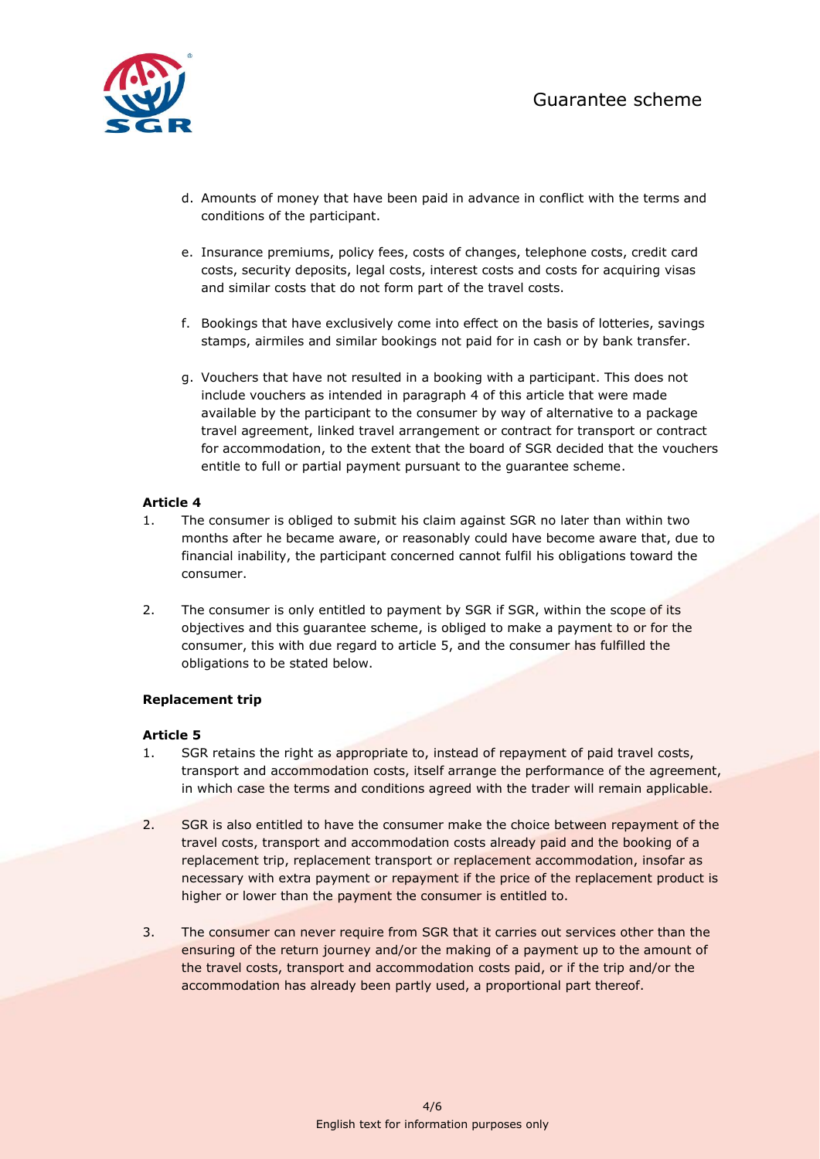

- d. Amounts of money that have been paid in advance in conflict with the terms and conditions of the participant.
- e. Insurance premiums, policy fees, costs of changes, telephone costs, credit card costs, security deposits, legal costs, interest costs and costs for acquiring visas and similar costs that do not form part of the travel costs.
- f. Bookings that have exclusively come into effect on the basis of lotteries, savings stamps, airmiles and similar bookings not paid for in cash or by bank transfer.
- g. Vouchers that have not resulted in a booking with a participant. This does not include vouchers as intended in paragraph 4 of this article that were made available by the participant to the consumer by way of alternative to a package travel agreement, linked travel arrangement or contract for transport or contract for accommodation, to the extent that the board of SGR decided that the vouchers entitle to full or partial payment pursuant to the guarantee scheme.

# **Article 4**

- 1. The consumer is obliged to submit his claim against SGR no later than within two months after he became aware, or reasonably could have become aware that, due to financial inability, the participant concerned cannot fulfil his obligations toward the consumer.
- 2. The consumer is only entitled to payment by SGR if SGR, within the scope of its objectives and this guarantee scheme, is obliged to make a payment to or for the consumer, this with due regard to article 5, and the consumer has fulfilled the obligations to be stated below.

# **Replacement trip**

# **Article 5**

- 1. SGR retains the right as appropriate to, instead of repayment of paid travel costs, transport and accommodation costs, itself arrange the performance of the agreement, in which case the terms and conditions agreed with the trader will remain applicable.
- 2. SGR is also entitled to have the consumer make the choice between repayment of the travel costs, transport and accommodation costs already paid and the booking of a replacement trip, replacement transport or replacement accommodation, insofar as necessary with extra payment or repayment if the price of the replacement product is higher or lower than the payment the consumer is entitled to.
- 3. The consumer can never require from SGR that it carries out services other than the ensuring of the return journey and/or the making of a payment up to the amount of the travel costs, transport and accommodation costs paid, or if the trip and/or the accommodation has already been partly used, a proportional part thereof.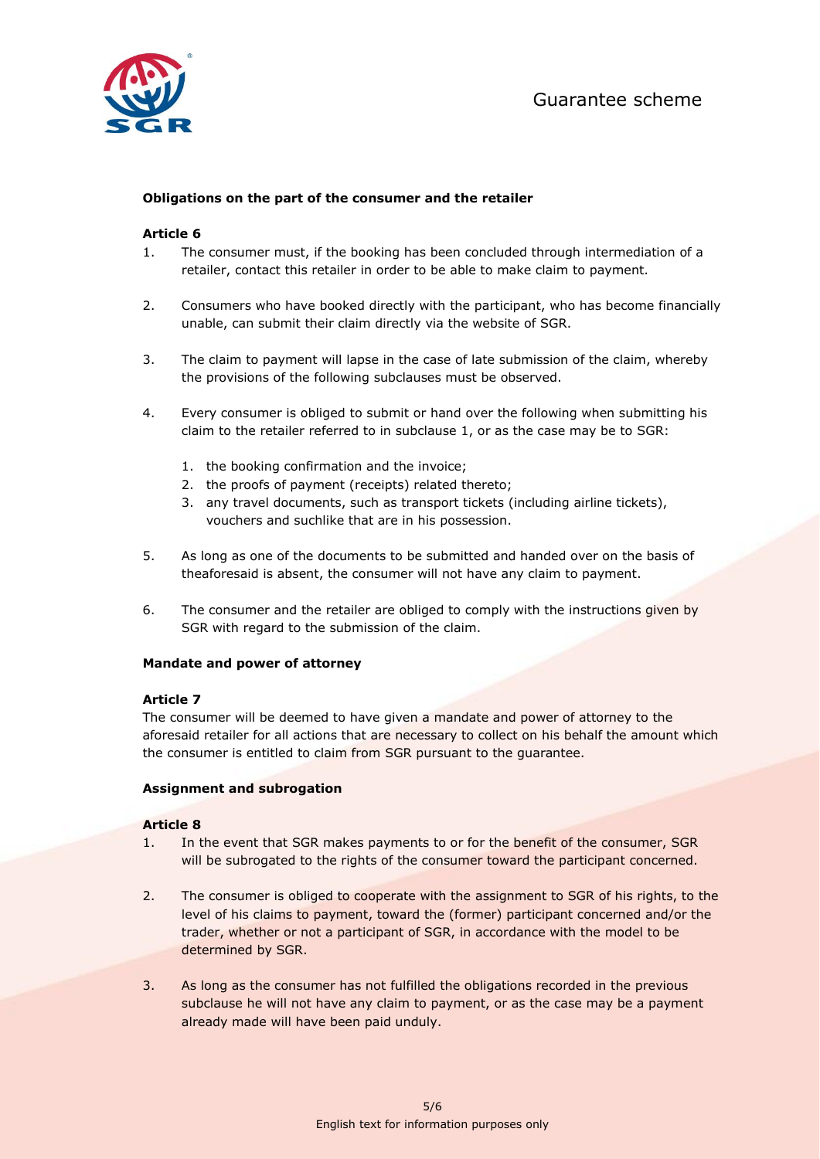

# **Obligations on the part of the consumer and the retailer**

# **Article 6**

- 1. The consumer must, if the booking has been concluded through intermediation of a retailer, contact this retailer in order to be able to make claim to payment.
- 2. Consumers who have booked directly with the participant, who has become financially unable, can submit their claim directly via the website of SGR.
- 3. The claim to payment will lapse in the case of late submission of the claim, whereby the provisions of the following subclauses must be observed.
- 4. Every consumer is obliged to submit or hand over the following when submitting his claim to the retailer referred to in subclause 1, or as the case may be to SGR:
	- 1. the booking confirmation and the invoice;
	- 2. the proofs of payment (receipts) related thereto;
	- 3. any travel documents, such as transport tickets (including airline tickets), vouchers and suchlike that are in his possession.
- 5. As long as one of the documents to be submitted and handed over on the basis of theaforesaid is absent, the consumer will not have any claim to payment.
- 6. The consumer and the retailer are obliged to comply with the instructions given by SGR with regard to the submission of the claim.

# **Mandate and power of attorney**

#### **Article 7**

The consumer will be deemed to have given a mandate and power of attorney to the aforesaid retailer for all actions that are necessary to collect on his behalf the amount which the consumer is entitled to claim from SGR pursuant to the guarantee.

#### **Assignment and subrogation**

#### **Article 8**

- 1. In the event that SGR makes payments to or for the benefit of the consumer, SGR will be subrogated to the rights of the consumer toward the participant concerned.
- 2. The consumer is obliged to cooperate with the assignment to SGR of his rights, to the level of his claims to payment, toward the (former) participant concerned and/or the trader, whether or not a participant of SGR, in accordance with the model to be determined by SGR.
- 3. As long as the consumer has not fulfilled the obligations recorded in the previous subclause he will not have any claim to payment, or as the case may be a payment already made will have been paid unduly.